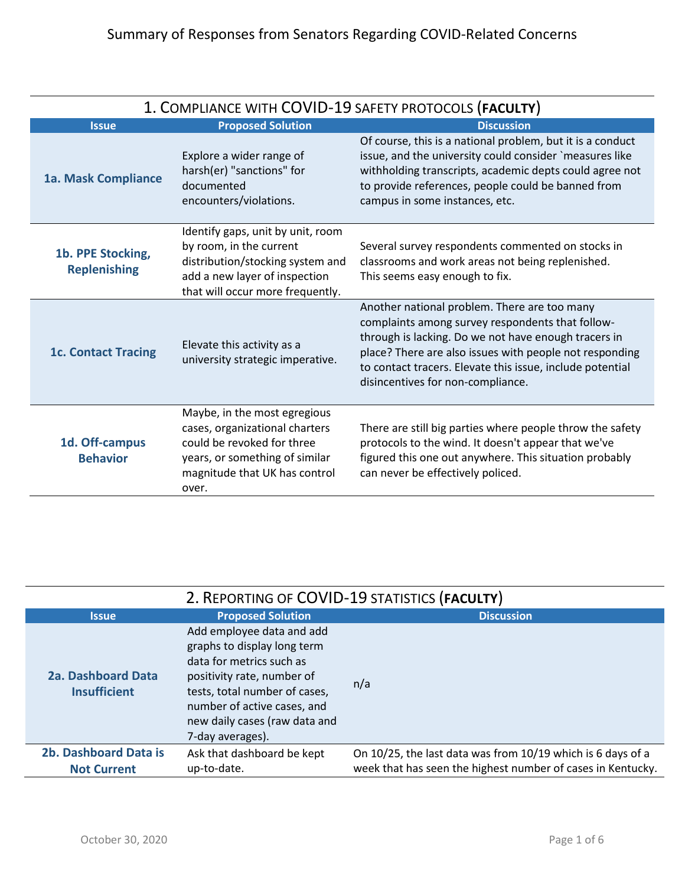| 1. COMPLIANCE WITH COVID-19 SAFETY PROTOCOLS (FACULTY) |                                                                                                                                                                          |                                                                                                                                                                                                                                                                                                                       |  |
|--------------------------------------------------------|--------------------------------------------------------------------------------------------------------------------------------------------------------------------------|-----------------------------------------------------------------------------------------------------------------------------------------------------------------------------------------------------------------------------------------------------------------------------------------------------------------------|--|
| <b>Issue</b>                                           | <b>Proposed Solution</b>                                                                                                                                                 | <b>Discussion</b>                                                                                                                                                                                                                                                                                                     |  |
| 1a. Mask Compliance                                    | Explore a wider range of<br>harsh(er) "sanctions" for<br>documented<br>encounters/violations.                                                                            | Of course, this is a national problem, but it is a conduct<br>issue, and the university could consider `measures like<br>withholding transcripts, academic depts could agree not<br>to provide references, people could be banned from<br>campus in some instances, etc.                                              |  |
| 1b. PPE Stocking,<br><b>Replenishing</b>               | Identify gaps, unit by unit, room<br>by room, in the current<br>distribution/stocking system and<br>add a new layer of inspection<br>that will occur more frequently.    | Several survey respondents commented on stocks in<br>classrooms and work areas not being replenished.<br>This seems easy enough to fix.                                                                                                                                                                               |  |
| <b>1c. Contact Tracing</b>                             | Elevate this activity as a<br>university strategic imperative.                                                                                                           | Another national problem. There are too many<br>complaints among survey respondents that follow-<br>through is lacking. Do we not have enough tracers in<br>place? There are also issues with people not responding<br>to contact tracers. Elevate this issue, include potential<br>disincentives for non-compliance. |  |
| 1d. Off-campus<br><b>Behavior</b>                      | Maybe, in the most egregious<br>cases, organizational charters<br>could be revoked for three<br>years, or something of similar<br>magnitude that UK has control<br>over. | There are still big parties where people throw the safety<br>protocols to the wind. It doesn't appear that we've<br>figured this one out anywhere. This situation probably<br>can never be effectively policed.                                                                                                       |  |

| 2. REPORTING OF COVID-19 STATISTICS (FACULTY)    |                                                                                                                                                                                                                                         |                                                             |
|--------------------------------------------------|-----------------------------------------------------------------------------------------------------------------------------------------------------------------------------------------------------------------------------------------|-------------------------------------------------------------|
| <b>Issue</b>                                     | <b>Proposed Solution</b>                                                                                                                                                                                                                | <b>Discussion</b>                                           |
| <b>2a. Dashboard Data</b><br><b>Insufficient</b> | Add employee data and add<br>graphs to display long term<br>data for metrics such as<br>positivity rate, number of<br>tests, total number of cases,<br>number of active cases, and<br>new daily cases (raw data and<br>7-day averages). | n/a                                                         |
| 2b. Dashboard Data is                            | Ask that dashboard be kept                                                                                                                                                                                                              | On 10/25, the last data was from 10/19 which is 6 days of a |
| <b>Not Current</b>                               | up-to-date.                                                                                                                                                                                                                             | week that has seen the highest number of cases in Kentucky. |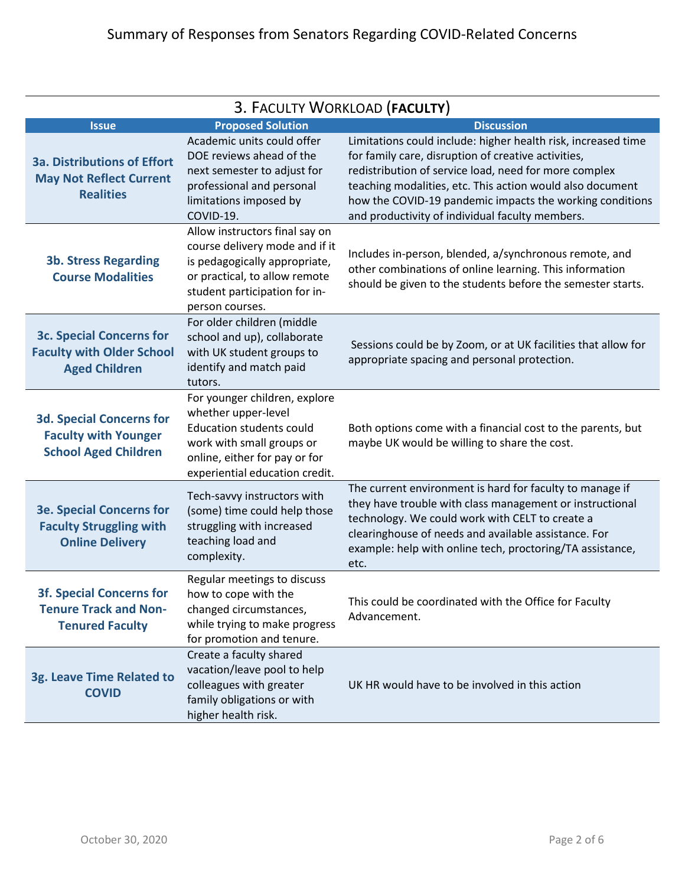| 3. FACULTY WORKLOAD (FACULTY)                                                                 |                                                                                                                                                                                         |                                                                                                                                                                                                                                                                                                                                                           |
|-----------------------------------------------------------------------------------------------|-----------------------------------------------------------------------------------------------------------------------------------------------------------------------------------------|-----------------------------------------------------------------------------------------------------------------------------------------------------------------------------------------------------------------------------------------------------------------------------------------------------------------------------------------------------------|
| <b>Issue</b>                                                                                  | <b>Proposed Solution</b>                                                                                                                                                                | <b>Discussion</b>                                                                                                                                                                                                                                                                                                                                         |
| <b>3a. Distributions of Effort</b><br><b>May Not Reflect Current</b><br><b>Realities</b>      | Academic units could offer<br>DOE reviews ahead of the<br>next semester to adjust for<br>professional and personal<br>limitations imposed by<br>COVID-19.                               | Limitations could include: higher health risk, increased time<br>for family care, disruption of creative activities,<br>redistribution of service load, need for more complex<br>teaching modalities, etc. This action would also document<br>how the COVID-19 pandemic impacts the working conditions<br>and productivity of individual faculty members. |
| <b>3b. Stress Regarding</b><br><b>Course Modalities</b>                                       | Allow instructors final say on<br>course delivery mode and if it<br>is pedagogically appropriate,<br>or practical, to allow remote<br>student participation for in-<br>person courses.  | Includes in-person, blended, a/synchronous remote, and<br>other combinations of online learning. This information<br>should be given to the students before the semester starts.                                                                                                                                                                          |
| <b>3c. Special Concerns for</b><br><b>Faculty with Older School</b><br><b>Aged Children</b>   | For older children (middle<br>school and up), collaborate<br>with UK student groups to<br>identify and match paid<br>tutors.                                                            | Sessions could be by Zoom, or at UK facilities that allow for<br>appropriate spacing and personal protection.                                                                                                                                                                                                                                             |
| <b>3d. Special Concerns for</b><br><b>Faculty with Younger</b><br><b>School Aged Children</b> | For younger children, explore<br>whether upper-level<br><b>Education students could</b><br>work with small groups or<br>online, either for pay or for<br>experiential education credit. | Both options come with a financial cost to the parents, but<br>maybe UK would be willing to share the cost.                                                                                                                                                                                                                                               |
| <b>3e. Special Concerns for</b><br><b>Faculty Struggling with</b><br><b>Online Delivery</b>   | Tech-savvy instructors with<br>(some) time could help those<br>struggling with increased<br>teaching load and<br>complexity.                                                            | The current environment is hard for faculty to manage if<br>they have trouble with class management or instructional<br>technology. We could work with CELT to create a<br>clearinghouse of needs and available assistance. For<br>example: help with online tech, proctoring/TA assistance,<br>etc.                                                      |
| <b>3f. Special Concerns for</b><br><b>Tenure Track and Non-</b><br><b>Tenured Faculty</b>     | Regular meetings to discuss<br>how to cope with the<br>changed circumstances,<br>while trying to make progress<br>for promotion and tenure.                                             | This could be coordinated with the Office for Faculty<br>Advancement.                                                                                                                                                                                                                                                                                     |
| 3g. Leave Time Related to<br><b>COVID</b>                                                     | Create a faculty shared<br>vacation/leave pool to help<br>colleagues with greater<br>family obligations or with<br>higher health risk.                                                  | UK HR would have to be involved in this action                                                                                                                                                                                                                                                                                                            |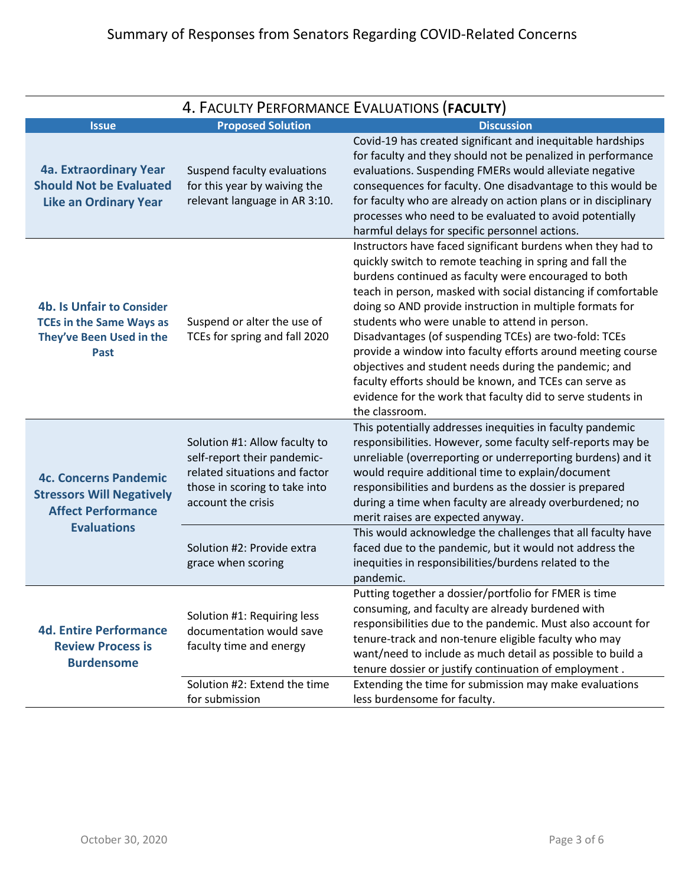| 4. FACULTY PERFORMANCE EVALUATIONS (FACULTY)                                                                        |                                                                                                                                                      |                                                                                                                                                                                                                                                                                                                                                                                                                                                                                                                                                                                                                                                                                           |
|---------------------------------------------------------------------------------------------------------------------|------------------------------------------------------------------------------------------------------------------------------------------------------|-------------------------------------------------------------------------------------------------------------------------------------------------------------------------------------------------------------------------------------------------------------------------------------------------------------------------------------------------------------------------------------------------------------------------------------------------------------------------------------------------------------------------------------------------------------------------------------------------------------------------------------------------------------------------------------------|
| <b>Issue</b>                                                                                                        | <b>Proposed Solution</b>                                                                                                                             | <b>Discussion</b>                                                                                                                                                                                                                                                                                                                                                                                                                                                                                                                                                                                                                                                                         |
| 4a. Extraordinary Year<br><b>Should Not be Evaluated</b><br><b>Like an Ordinary Year</b>                            | Suspend faculty evaluations<br>for this year by waiving the<br>relevant language in AR 3:10.                                                         | Covid-19 has created significant and inequitable hardships<br>for faculty and they should not be penalized in performance<br>evaluations. Suspending FMERs would alleviate negative<br>consequences for faculty. One disadvantage to this would be<br>for faculty who are already on action plans or in disciplinary<br>processes who need to be evaluated to avoid potentially<br>harmful delays for specific personnel actions.                                                                                                                                                                                                                                                         |
| <b>4b. Is Unfair to Consider</b><br><b>TCEs in the Same Ways as</b><br>They've Been Used in the<br><b>Past</b>      | Suspend or alter the use of<br>TCEs for spring and fall 2020                                                                                         | Instructors have faced significant burdens when they had to<br>quickly switch to remote teaching in spring and fall the<br>burdens continued as faculty were encouraged to both<br>teach in person, masked with social distancing if comfortable<br>doing so AND provide instruction in multiple formats for<br>students who were unable to attend in person.<br>Disadvantages (of suspending TCEs) are two-fold: TCEs<br>provide a window into faculty efforts around meeting course<br>objectives and student needs during the pandemic; and<br>faculty efforts should be known, and TCEs can serve as<br>evidence for the work that faculty did to serve students in<br>the classroom. |
| <b>4c. Concerns Pandemic</b><br><b>Stressors Will Negatively</b><br><b>Affect Performance</b><br><b>Evaluations</b> | Solution #1: Allow faculty to<br>self-report their pandemic-<br>related situations and factor<br>those in scoring to take into<br>account the crisis | This potentially addresses inequities in faculty pandemic<br>responsibilities. However, some faculty self-reports may be<br>unreliable (overreporting or underreporting burdens) and it<br>would require additional time to explain/document<br>responsibilities and burdens as the dossier is prepared<br>during a time when faculty are already overburdened; no<br>merit raises are expected anyway.                                                                                                                                                                                                                                                                                   |
|                                                                                                                     | Solution #2: Provide extra<br>grace when scoring                                                                                                     | This would acknowledge the challenges that all faculty have<br>faced due to the pandemic, but it would not address the<br>inequities in responsibilities/burdens related to the<br>pandemic.                                                                                                                                                                                                                                                                                                                                                                                                                                                                                              |
| <b>4d. Entire Performance</b><br><b>Review Process is</b><br><b>Burdensome</b>                                      | Solution #1: Requiring less<br>documentation would save<br>faculty time and energy                                                                   | Putting together a dossier/portfolio for FMER is time<br>consuming, and faculty are already burdened with<br>responsibilities due to the pandemic. Must also account for<br>tenure-track and non-tenure eligible faculty who may<br>want/need to include as much detail as possible to build a<br>tenure dossier or justify continuation of employment.                                                                                                                                                                                                                                                                                                                                   |
|                                                                                                                     | Solution #2: Extend the time<br>for submission                                                                                                       | Extending the time for submission may make evaluations<br>less burdensome for faculty.                                                                                                                                                                                                                                                                                                                                                                                                                                                                                                                                                                                                    |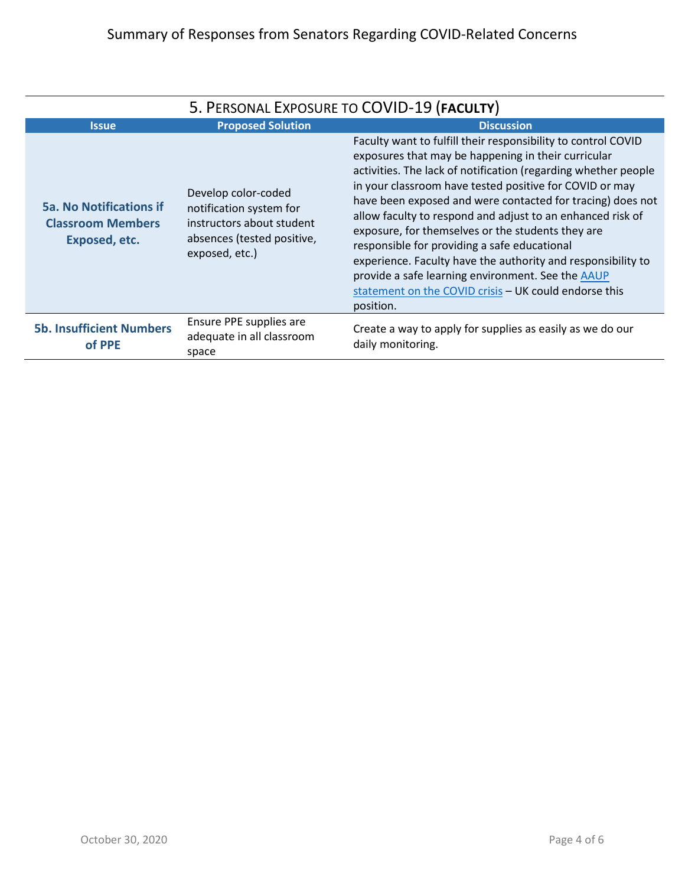| 5. PERSONAL EXPOSURE TO COVID-19 (FACULTY)                                  |                                                                                                                             |                                                                                                                                                                                                                                                                                                                                                                                                                                                                                                                                                                                                                                                                                      |
|-----------------------------------------------------------------------------|-----------------------------------------------------------------------------------------------------------------------------|--------------------------------------------------------------------------------------------------------------------------------------------------------------------------------------------------------------------------------------------------------------------------------------------------------------------------------------------------------------------------------------------------------------------------------------------------------------------------------------------------------------------------------------------------------------------------------------------------------------------------------------------------------------------------------------|
| <b>Issue</b>                                                                | <b>Proposed Solution</b>                                                                                                    | <b>Discussion</b>                                                                                                                                                                                                                                                                                                                                                                                                                                                                                                                                                                                                                                                                    |
| <b>5a. No Notifications if</b><br><b>Classroom Members</b><br>Exposed, etc. | Develop color-coded<br>notification system for<br>instructors about student<br>absences (tested positive,<br>exposed, etc.) | Faculty want to fulfill their responsibility to control COVID<br>exposures that may be happening in their curricular<br>activities. The lack of notification (regarding whether people<br>in your classroom have tested positive for COVID or may<br>have been exposed and were contacted for tracing) does not<br>allow faculty to respond and adjust to an enhanced risk of<br>exposure, for themselves or the students they are<br>responsible for providing a safe educational<br>experience. Faculty have the authority and responsibility to<br>provide a safe learning environment. See the <b>AAUP</b><br>statement on the COVID crisis - UK could endorse this<br>position. |
| <b>5b. Insufficient Numbers</b><br>of PPE                                   | Ensure PPE supplies are<br>adequate in all classroom<br>space                                                               | Create a way to apply for supplies as easily as we do our<br>daily monitoring.                                                                                                                                                                                                                                                                                                                                                                                                                                                                                                                                                                                                       |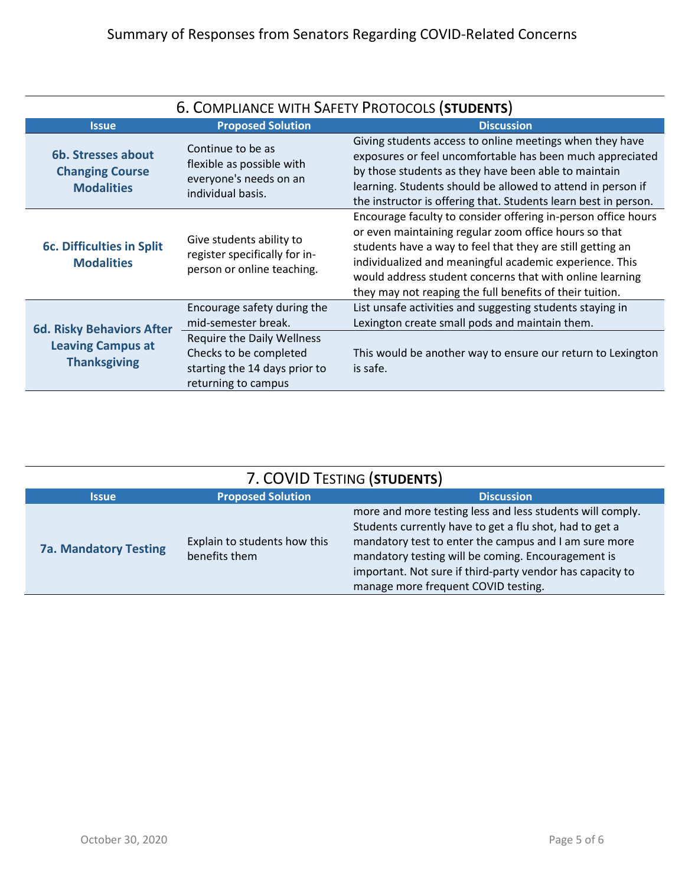| 6. COMPLIANCE WITH SAFETY PROTOCOLS (STUDENTS)                                      |                                                                                                                                                                           |                                                                                                                                                                                                                                                                                                                                                                         |
|-------------------------------------------------------------------------------------|---------------------------------------------------------------------------------------------------------------------------------------------------------------------------|-------------------------------------------------------------------------------------------------------------------------------------------------------------------------------------------------------------------------------------------------------------------------------------------------------------------------------------------------------------------------|
| <b>Issue</b>                                                                        | <b>Proposed Solution</b>                                                                                                                                                  | <b>Discussion</b>                                                                                                                                                                                                                                                                                                                                                       |
| 6b. Stresses about<br><b>Changing Course</b><br><b>Modalities</b>                   | Continue to be as<br>flexible as possible with<br>everyone's needs on an<br>individual basis.                                                                             | Giving students access to online meetings when they have<br>exposures or feel uncomfortable has been much appreciated<br>by those students as they have been able to maintain<br>learning. Students should be allowed to attend in person if<br>the instructor is offering that. Students learn best in person.                                                         |
| <b>6c. Difficulties in Split</b><br><b>Modalities</b>                               | Give students ability to<br>register specifically for in-<br>person or online teaching.                                                                                   | Encourage faculty to consider offering in-person office hours<br>or even maintaining regular zoom office hours so that<br>students have a way to feel that they are still getting an<br>individualized and meaningful academic experience. This<br>would address student concerns that with online learning<br>they may not reaping the full benefits of their tuition. |
| <b>6d. Risky Behaviors After</b><br><b>Leaving Campus at</b><br><b>Thanksgiving</b> | Encourage safety during the<br>mid-semester break.<br><b>Require the Daily Wellness</b><br>Checks to be completed<br>starting the 14 days prior to<br>returning to campus | List unsafe activities and suggesting students staying in<br>Lexington create small pods and maintain them.<br>This would be another way to ensure our return to Lexington<br>is safe.                                                                                                                                                                                  |

| 7. COVID TESTING (STUDENTS)  |                                               |                                                                                                                                                                                                                                                                                                                                         |  |
|------------------------------|-----------------------------------------------|-----------------------------------------------------------------------------------------------------------------------------------------------------------------------------------------------------------------------------------------------------------------------------------------------------------------------------------------|--|
| <b>Issue</b>                 | <b>Proposed Solution</b>                      | <b>Discussion</b>                                                                                                                                                                                                                                                                                                                       |  |
| <b>7a. Mandatory Testing</b> | Explain to students how this<br>benefits them | more and more testing less and less students will comply.<br>Students currently have to get a flu shot, had to get a<br>mandatory test to enter the campus and I am sure more<br>mandatory testing will be coming. Encouragement is<br>important. Not sure if third-party vendor has capacity to<br>manage more frequent COVID testing. |  |